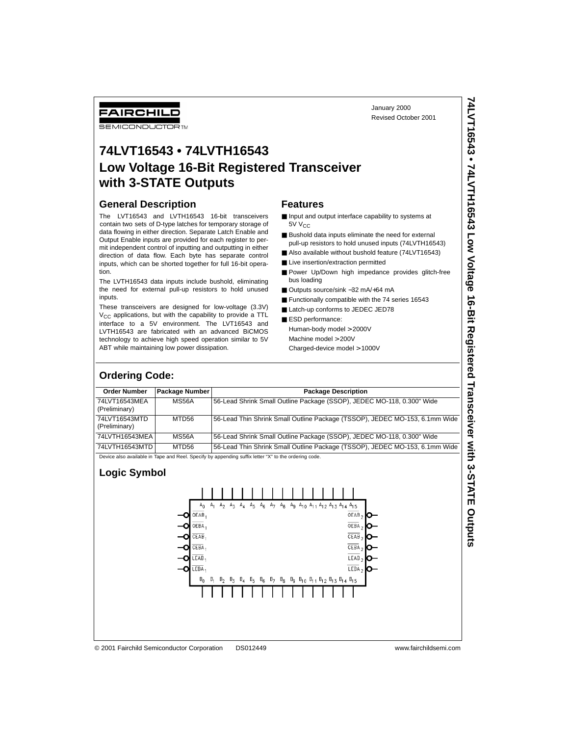# **74LVT16543 • 74LVTH16543 Low Voltage 16-Bit Registered Transceiver with 3-STATE Outputs**

#### **General Description**

### **Features**

- Input and output interface capability to systems at 5V V<sub>CC</sub>
- Bushold data inputs eliminate the need for external pull-up resistors to hold unused inputs (74LVTH16543)
- Also available without bushold feature (74LVT16543)
- Live insertion/extraction permitted
- Power Up/Down high impedance provides glitch-free bus loading
- Outputs source/sink -32 mA/+64 mA
- Functionally compatible with the 74 series 16543
- Latch-up conforms to JEDEC JED78
- ESD performance: Human-body model > 2000V Machine model > 200V Charged-device model > 1000V

| <b>FAIRCHILL</b><br><b>SEMICONDUCTORTM</b>                              |                                              |                                                                                                                                                                                                                                                                                                                                                                                                                                                                                                                                                                                                                                                                                                                                                                                                                                                            | January 2000<br>Revised October 2001                                                                                                                                                                                                                                                                                                                                                                                                                                                                                                                                                                                    |                                                                                 |
|-------------------------------------------------------------------------|----------------------------------------------|------------------------------------------------------------------------------------------------------------------------------------------------------------------------------------------------------------------------------------------------------------------------------------------------------------------------------------------------------------------------------------------------------------------------------------------------------------------------------------------------------------------------------------------------------------------------------------------------------------------------------------------------------------------------------------------------------------------------------------------------------------------------------------------------------------------------------------------------------------|-------------------------------------------------------------------------------------------------------------------------------------------------------------------------------------------------------------------------------------------------------------------------------------------------------------------------------------------------------------------------------------------------------------------------------------------------------------------------------------------------------------------------------------------------------------------------------------------------------------------------|---------------------------------------------------------------------------------|
|                                                                         | with 3-STATE Outputs                         | 74LVT16543 • 74LVTH16543                                                                                                                                                                                                                                                                                                                                                                                                                                                                                                                                                                                                                                                                                                                                                                                                                                   | <b>Low Voltage 16-Bit Registered Transceiver</b>                                                                                                                                                                                                                                                                                                                                                                                                                                                                                                                                                                        |                                                                                 |
| <b>General Description</b><br>tion.<br>inputs.<br><b>Ordering Code:</b> | ABT while maintaining low power dissipation. | The LVT16543 and LVTH16543 16-bit transceivers<br>contain two sets of D-type latches for temporary storage of<br>data flowing in either direction. Separate Latch Enable and<br>Output Enable inputs are provided for each register to per-<br>mit independent control of inputting and outputting in either<br>direction of data flow. Each byte has separate control<br>inputs, which can be shorted together for full 16-bit opera-<br>The LVTH16543 data inputs include bushold, eliminating<br>the need for external pull-up resistors to hold unused<br>These transceivers are designed for low-voltage (3.3V)<br>$V_{CC}$ applications, but with the capability to provide a TTL<br>interface to a 5V environment. The LVT16543 and<br>LVTH16543 are fabricated with an advanced BiCMOS<br>technology to achieve high speed operation similar to 5V | <b>Features</b><br>Input and output interface capability to systems at<br>5V V <sub>CC</sub><br>Bushold data inputs eliminate the need for external<br>pull-up resistors to hold unused inputs (74LVTH16543)<br>Also available without bushold feature (74LVT16543)<br>■ Live insertion/extraction permitted<br>Power Up/Down high impedance provides glitch-free<br>bus loading<br>■ Outputs source/sink -32 mA/+64 mA<br>Functionally compatible with the 74 series 16543<br>Latch-up conforms to JEDEC JED78<br>ESD performance:<br>Human-body model > 2000V<br>Machine model > 200V<br>Charged-device model > 1000V | 74LVT16543 • 74LVTH16543 Low Voltage 16-Bit Registered Transceiver with 3-STATE |
| <b>Order Number</b>                                                     | Package Number                               |                                                                                                                                                                                                                                                                                                                                                                                                                                                                                                                                                                                                                                                                                                                                                                                                                                                            | <b>Package Description</b>                                                                                                                                                                                                                                                                                                                                                                                                                                                                                                                                                                                              |                                                                                 |
| 74LVT16543MEA<br>(Preliminary)                                          | MS56A                                        |                                                                                                                                                                                                                                                                                                                                                                                                                                                                                                                                                                                                                                                                                                                                                                                                                                                            | 56-Lead Shrink Small Outline Package (SSOP), JEDEC MO-118, 0.300" Wide                                                                                                                                                                                                                                                                                                                                                                                                                                                                                                                                                  |                                                                                 |
| 74LVT16543MTD<br>(Preliminary)                                          | MTD56                                        |                                                                                                                                                                                                                                                                                                                                                                                                                                                                                                                                                                                                                                                                                                                                                                                                                                                            | 56-Lead Thin Shrink Small Outline Package (TSSOP), JEDEC MO-153, 6.1mm Wide                                                                                                                                                                                                                                                                                                                                                                                                                                                                                                                                             |                                                                                 |
| 74LVTH16543MEA                                                          | <b>MS56A</b>                                 |                                                                                                                                                                                                                                                                                                                                                                                                                                                                                                                                                                                                                                                                                                                                                                                                                                                            | 56-Lead Shrink Small Outline Package (SSOP), JEDEC MO-118, 0.300" Wide                                                                                                                                                                                                                                                                                                                                                                                                                                                                                                                                                  |                                                                                 |
| 74LVTH16543MTD                                                          | MTD56                                        |                                                                                                                                                                                                                                                                                                                                                                                                                                                                                                                                                                                                                                                                                                                                                                                                                                                            | 56-Lead Thin Shrink Small Outline Package (TSSOP), JEDEC MO-153, 6.1mm Wide                                                                                                                                                                                                                                                                                                                                                                                                                                                                                                                                             |                                                                                 |
| <b>Logic Symbol</b>                                                     |                                              | Device also available in Tape and Reel. Specify by appending suffix letter "X" to the ordering code.                                                                                                                                                                                                                                                                                                                                                                                                                                                                                                                                                                                                                                                                                                                                                       |                                                                                                                                                                                                                                                                                                                                                                                                                                                                                                                                                                                                                         |                                                                                 |
|                                                                         | $A_{n}$<br>OEAB,                             | A <sub>1</sub><br>A <sub>2</sub><br>$A_{\mathcal{R}}$<br>$A_{\mathbf{A}}$<br>$A_{\overline{2}}$<br>$A_{\mathcal{R}}$<br>A <sub>7</sub><br>$A_{8}$                                                                                                                                                                                                                                                                                                                                                                                                                                                                                                                                                                                                                                                                                                          | Ag A <sub>10</sub> A <sub>11</sub> A <sub>12</sub> A <sub>13</sub> A <sub>14</sub> A <sub>15</sub><br>$OEAB_2$                                                                                                                                                                                                                                                                                                                                                                                                                                                                                                          |                                                                                 |
|                                                                         | OEBA.                                        |                                                                                                                                                                                                                                                                                                                                                                                                                                                                                                                                                                                                                                                                                                                                                                                                                                                            | OEBA                                                                                                                                                                                                                                                                                                                                                                                                                                                                                                                                                                                                                    |                                                                                 |
|                                                                         | CEAB                                         |                                                                                                                                                                                                                                                                                                                                                                                                                                                                                                                                                                                                                                                                                                                                                                                                                                                            | CEAB <sub>2</sub>                                                                                                                                                                                                                                                                                                                                                                                                                                                                                                                                                                                                       | Outputs                                                                         |
|                                                                         |                                              |                                                                                                                                                                                                                                                                                                                                                                                                                                                                                                                                                                                                                                                                                                                                                                                                                                                            |                                                                                                                                                                                                                                                                                                                                                                                                                                                                                                                                                                                                                         |                                                                                 |

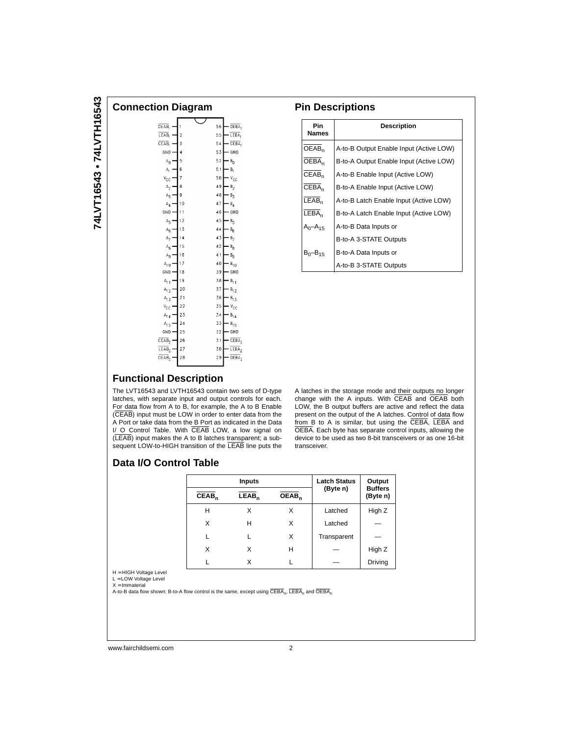| Connection Diagram                                                                                                                                                                                                                                                                                                                                           |                                                                                                                                                        |                                                                                                                                                                                                                                                                                                                                                                                                                                                         |  |  |  |  |
|--------------------------------------------------------------------------------------------------------------------------------------------------------------------------------------------------------------------------------------------------------------------------------------------------------------------------------------------------------------|--------------------------------------------------------------------------------------------------------------------------------------------------------|---------------------------------------------------------------------------------------------------------------------------------------------------------------------------------------------------------------------------------------------------------------------------------------------------------------------------------------------------------------------------------------------------------------------------------------------------------|--|--|--|--|
| OEAB<br>LEAB,<br>CEAB,<br>GND<br>$\mathbb{A}_0$<br>$\mathsf{A}_\mathsf{I}$<br>$\rm v_{\rm CC}$<br>A <sub>2</sub><br>$A_{\overline{5}}$<br>$A_4$<br>GND<br>A <sub>5</sub><br>$\mathsf{A}_6$<br>$\mathbb{A}_{7}$<br>$\mathbb{A}_8$<br>$\mathbb{A}_9$<br>$A_{1,0}$<br>GND<br>$A_{11}$<br>$A_{1,2}$<br>$A_{1,3}$<br>$v_{\rm cc}$<br>$A_{14}$<br>$A_{1,5}$<br>GND | 1<br>$\overline{2}$<br>3<br>4<br>5<br>6<br>7<br>8<br>9<br>10<br>11<br>12<br>13<br>14<br>15<br>16<br>17<br>18<br>19<br>20<br>21<br>22<br>23<br>24<br>25 | OEBA,<br>56<br>LEBA,<br>55<br>CEBA <sub>1</sub><br>54<br>53<br>GND<br>52<br>$\mathsf{B}_0$<br>51<br>В,<br>50<br>$V_{\rm CC}$<br>49<br>B <sub>2</sub><br>48<br>$B_3$<br>47<br>$B_4$<br>46<br>GND<br>45<br>$B_5$<br>44<br>$\mathsf{B}_6$<br>43<br>$B_7$<br>42<br>$B_{3}$<br>41<br>$B_{g}$<br>40<br>$B_{1,0}$<br>GND<br>39<br>38<br>$B_{1,1}$<br>37<br>$B_{1,2}$<br>36<br>$B_{13}$<br>35<br>$v_{\rm cc}$<br>34<br>$B_{14}$<br>33<br>$B_{1,5}$<br>32<br>GND |  |  |  |  |
| CEAB <sub>2</sub><br>LEAB <sub>2</sub><br>OEAB <sub>2</sub>                                                                                                                                                                                                                                                                                                  | 26<br>27<br>28                                                                                                                                         | CEBA<br>31<br>$LEBA$ <sub>2</sub><br>30<br>$\overline{\text{OEBA}}_2$<br>29                                                                                                                                                                                                                                                                                                                                                                             |  |  |  |  |
|                                                                                                                                                                                                                                                                                                                                                              |                                                                                                                                                        |                                                                                                                                                                                                                                                                                                                                                                                                                                                         |  |  |  |  |

### **Pin Descriptions**

| <b>Pin</b><br><b>Names</b> | Description                             |
|----------------------------|-----------------------------------------|
| OEAB <sub>n</sub>          | A-to-B Output Enable Input (Active LOW) |
| $\overline{\sf OEBA}_n$    | B-to-A Output Enable Input (Active LOW) |
| CEAB <sub>n</sub>          | A-to-B Enable Input (Active LOW)        |
| CEBA <sub>n</sub>          | B-to-A Enable Input (Active LOW)        |
| LEAB <sub>n</sub>          | A-to-B Latch Enable Input (Active LOW)  |
| LEBA <sub>n</sub>          | B-to-A Latch Enable Input (Active LOW)  |
| $A_0 - A_{15}$             | A-to-B Data Inputs or                   |
|                            | B-to-A 3-STATE Outputs                  |
| $B_0 - B_{15}$             | B-to-A Data Inputs or                   |
|                            | A-to-B 3-STATE Outputs                  |

## **Functional Description**

The LVT16543 and LVTH16543 contain two sets of D-type latches, with separate input and output controls for each. For data flow from A to B, for example, the A to B Enable (CEAB) input must be LOW in order to enter data from the A Port or take data from the B Port as indicated in the Data I/ O Control Table. With CEAB LOW, a low signal on (LEAB) input makes the A to B latches transparent; a subsequent LOW-to-HIGH transition of the LEAB line puts the

A latches in the storage mode and their outputs no longer change with the A inputs. With CEAB and OEAB both LOW, the B output buffers are active and reflect the data present on the output of the A latches. Control of data flow from B to A is similar, but using the CEBA, LEBA and OEBA. Each byte has separate control inputs, allowing the device to be used as two 8-bit transceivers or as one 16-bit transceiver.

## **Data I/O Control Table**

|                   | <b>Inputs</b>     |                   | <b>Latch Status</b> | Output                     |
|-------------------|-------------------|-------------------|---------------------|----------------------------|
| CEAB <sub>n</sub> | LEAB <sub>n</sub> | OEAB <sub>n</sub> | (Byte n)            | <b>Buffers</b><br>(Byte n) |
| Н                 | X                 | X                 | Latched             | High Z                     |
| X                 | н                 | X                 | Latched             |                            |
|                   |                   | X                 | Transparent         |                            |
| X                 | X                 | н                 |                     | High Z                     |
| L                 | x                 |                   |                     | Driving                    |

H = HIGH Voltage Level L = LOW Voltage Level

 $X = ImmateriaI$ 

A-to-B data flow shown; B-to-A flow control is the same, except using  $\overline{CEBA}_n$ ,  $\overline{LEBA}_n$  and  $\overline{OEBA}_n$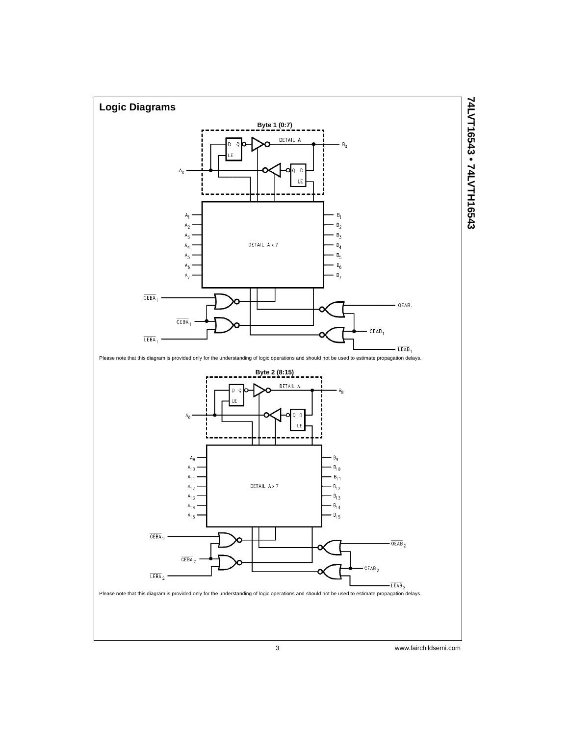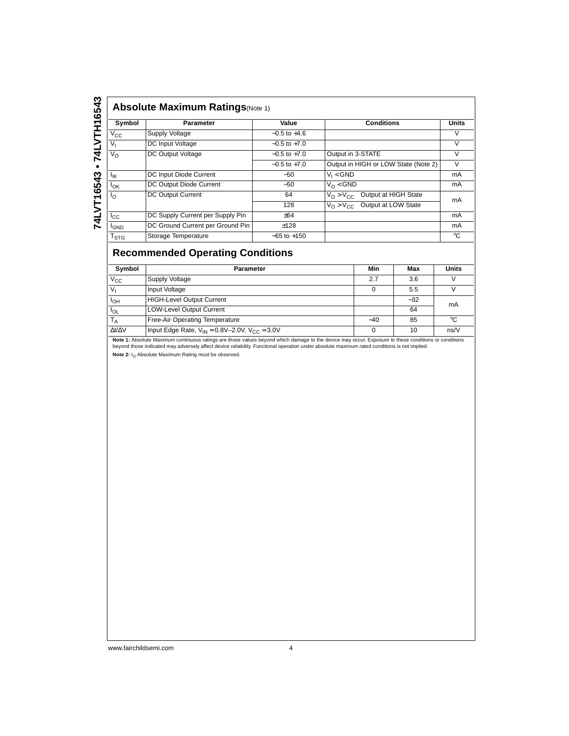| Symbol           | Parameter                        | Value            | <b>Conditions</b>                                     | <b>Units</b> |
|------------------|----------------------------------|------------------|-------------------------------------------------------|--------------|
| $V_{\rm CC}$     | Supply Voltage                   | $-0.5$ to $+4.6$ |                                                       | v            |
| V,               | DC Input Voltage                 | $-0.5$ to $+7.0$ |                                                       | V            |
| $V_{\rm O}$      | DC Output Voltage                | $-0.5$ to $+7.0$ | Output in 3-STATE                                     | V            |
|                  |                                  | $-0.5$ to $+7.0$ | Output in HIGH or LOW State (Note 2)                  | V            |
| Ιĸ               | DC Input Diode Current           | $-50$            | $V_1 < GND$                                           | mA           |
| $I_{OK}$         | DC Output Diode Current          | $-50$            | $V_{\Omega}$ < GND                                    | mA           |
| $I_{\Omega}$     | DC Output Current                | 64               | Output at HIGH State<br>$V_O > V_{CC}$                | mA           |
|                  |                                  | 128              | Output at LOW State<br>$V_{\Omega}$ > $V_{\text{CC}}$ |              |
| $I_{\rm CC}$     | DC Supply Current per Supply Pin | ±64              |                                                       | mA           |
| <sup>I</sup> GND | DC Ground Current per Ground Pin | ±128             |                                                       | mA           |
| $I_{STG}$        | Storage Temperature              | $-65$ to $+150$  |                                                       | °C           |

# **Recommended Operating Conditions**

| Symbol              | <b>Parameter</b>                                          | Min   | Max   | <b>Units</b> |
|---------------------|-----------------------------------------------------------|-------|-------|--------------|
| $V_{\text{CC}}$     | Supply Voltage                                            | 2.7   | 3.6   |              |
| $V_1$               | Input Voltage                                             |       | 5.5   |              |
| Iон                 | <b>HIGH-Level Output Current</b>                          |       | $-32$ | mA           |
| $I_{OL}$            | <b>LOW-Level Output Current</b>                           |       | 64    |              |
| $T_A$               | Free-Air Operating Temperature                            | $-40$ | 85    | ി            |
| $\Delta t/\Delta V$ | Input Edge Rate, $V_{IN} = 0.8V - 2.0V$ , $V_{CC} = 3.0V$ | 0     | 10    | ns/V         |

Note 1: Absolute Maximum continuous ratings are those values beyond which damage to the device may occur. Exposure to these conditions or conditions<br>beyond those indicated may adversely affect device reliability. Functiona Note 2: I<sub>O</sub> Absolute Maximum Rating must be observed.

www.fairchildsemi.com 4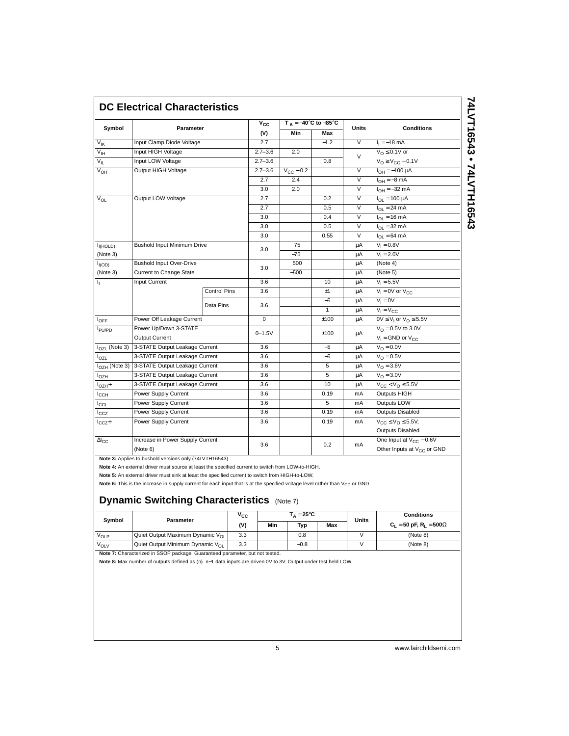| Symbol               | Parameter                                                |                     | $V_{CC}$    | $T_A = -40^\circ C$ to $+85^\circ C$ |            | <b>Units</b>            | <b>Conditions</b>                      |
|----------------------|----------------------------------------------------------|---------------------|-------------|--------------------------------------|------------|-------------------------|----------------------------------------|
|                      |                                                          |                     | (V)         | Min                                  | Max        |                         |                                        |
| $V_{\text{IK}}$      | Input Clamp Diode Voltage                                |                     | 2.7         |                                      | $-1.2$     | $\overline{\mathsf{v}}$ | $I_1 = -18$ mA                         |
| $V_{IH}$             | Input HIGH Voltage                                       |                     | $2.7 - 3.6$ | 2.0                                  |            | $\vee$                  | $V_{\Omega} \leq 0.1V$ or              |
| $V_{\parallel}$      | Input LOW Voltage                                        |                     | $2.7 - 3.6$ |                                      | 0.8        |                         | $V_{O} \ge V_{CC} - 0.1V$              |
| V <sub>OH</sub>      | Output HIGH Voltage                                      |                     | $2.7 - 3.6$ | $V_{CC}$ – 0.2                       |            | $\vee$                  | $I_{OH} = -100 \mu A$                  |
|                      |                                                          |                     | 2.7         | 2.4                                  |            | $\vee$                  | $I_{OH} = -8$ mA                       |
|                      |                                                          |                     | 3.0         | 2.0                                  |            | $\vee$                  | $I_{OH} = -32$ mA                      |
| $V_{OL}$             | Output LOW Voltage                                       |                     | 2.7         |                                      | 0.2        | $\overline{\mathsf{v}}$ | $I_{OL} = 100 \overline{\mu A}$        |
|                      |                                                          |                     | 2.7         |                                      | 0.5        | $\overline{\mathsf{v}}$ | $I_{OL} = 24 \text{ mA}$               |
|                      |                                                          |                     | 3.0         |                                      | 0.4        | $\overline{\vee}$       | $I_{OL}$ = 16 mA                       |
|                      |                                                          |                     | 3.0         |                                      | 0.5        | $\vee$                  | $I_{OL}$ = 32 mA                       |
|                      |                                                          |                     | 3.0         |                                      | 0.55       | $\overline{\mathsf{v}}$ | $I_{OL} = 64 \text{ mA}$               |
| I <sub>I(HOLD)</sub> | <b>Bushold Input Minimum Drive</b>                       |                     | 3.0         | 75                                   |            | μA                      | $V_1 = 0.8V$                           |
| (Note 3)             |                                                          |                     |             | $-75$                                |            | μA                      | $V_1 = 2.0V$                           |
| $I_{I(OD)}$          | <b>Bushold Input Over-Drive</b>                          |                     | 3.0         | 500                                  |            | μA                      | (Note 4)                               |
| (Note 3)             | <b>Current to Change State</b>                           |                     |             | $-500$                               |            | μA                      | (Note 5)                               |
| Т,                   | Input Current                                            |                     | 3.6         |                                      | 10         | μA                      | $V_1 = 5.5V$                           |
|                      |                                                          | <b>Control Pins</b> | 3.6         |                                      | ±1         | μA                      | $V_1 = 0V$ or $V_{CC}$                 |
|                      |                                                          | Data Pins           | 3.6         |                                      | $-5$       | μA                      | $V_1 = 0V$                             |
|                      |                                                          |                     |             |                                      | 1          | μA                      | $\overline{V_1} = V_{CC}$              |
| $I_{OFF}$            | Power Off Leakage Current                                |                     | 0           |                                      | ±100       | μA                      | $0V \leq V_1$ or $V_0 \leq 5.5V$       |
| PU/PD                | Power Up/Down 3-STATE                                    |                     | $0 - 1.5V$  |                                      | ±100<br>μA |                         | $V_{\Omega} = 0.5V$ to 3.0V            |
|                      | Output Current                                           |                     |             |                                      |            |                         | $V_1 =$ GND or $V_{CC}$                |
| $IOZL$ (Note 3)      | 3-STATE Output Leakage Current                           |                     | 3.6         |                                      | $-5$       | μA                      | $V_0 = 0.0V$                           |
| l <sub>OZL</sub>     | 3-STATE Output Leakage Current                           |                     | 3.6         |                                      | $-5$       | μA                      | $VO = 0.5V$                            |
|                      | I <sub>OZH</sub> (Note 3) 3-STATE Output Leakage Current |                     | 3.6         |                                      | 5          | μA                      | $V_0 = 3.6V$                           |
| $I_{OZH}$            | 3-STATE Output Leakage Current                           |                     | 3.6         |                                      | 5          | μA                      | $V_0 = 3.0V$                           |
| $IOZH$ +             | 3-STATE Output Leakage Current                           |                     | 3.6         |                                      | 10         | μA                      | $V_{CC}$ < $V_{O}$ $\leq$ 5.5V         |
| $I_{\rm CCH}$        | Power Supply Current                                     |                     | 3.6         |                                      | 0.19       | mA                      | Outputs HIGH                           |
| ICCL                 | Power Supply Current                                     |                     | 3.6         |                                      | 5          | mA                      | <b>Outputs LOW</b>                     |
| $I_{CCZ}$            | Power Supply Current                                     |                     | 3.6         |                                      | 0.19       | mA                      | <b>Outputs Disabled</b>                |
| $I_{CCZ}+$           | Power Supply Current                                     |                     | 3.6         |                                      | 0.19       | mA                      | $V_{CC} \leq V_{O} \leq 5.5V$ ,        |
|                      |                                                          |                     |             |                                      |            |                         | <b>Outputs Disabled</b>                |
| $\Delta I_{CC}$      | Increase in Power Supply Current                         |                     |             |                                      | 0.2        |                         | One Input at $V_{CC}$ – 0.6V           |
|                      | (Note 6)                                                 |                     | 3.6         |                                      |            | mA                      | Other Inputs at V <sub>CC</sub> or GND |

74LVT16543 • 74LVTH16543 **74LVT16543 • 74LVTH16543**

**Note 3:** Applies to bushold versions only (74LVTH16543)

**Note 4:** An external driver must source at least the specified current to switch from LOW-to-HIGH.

**Note 5:** An external driver must sink at least the specified current to switch from HIGH-to-LOW.

Note 6: This is the increase in supply current for each input that is at the specified voltage level rather than V<sub>CC</sub> or GND.

## **Dynamic Switching Characteristics** (Note 7)

| Symbol | Parameter                                    | $V_{CC}$ | $\mathsf{T}_\Delta = 25^\circ\mathsf{C}$ |        | <b>Units</b> | <b>Conditions</b> |                                              |
|--------|----------------------------------------------|----------|------------------------------------------|--------|--------------|-------------------|----------------------------------------------|
|        |                                              | (V)      | Min                                      | Typ    | Max          |                   | $C_L = 50$ pF, R <sub>L</sub> = 500 $\Omega$ |
| Volp   | Quiet Output Maximum Dynamic Vol             | 3.3      |                                          | 0.8    |              |                   | (Note 8)                                     |
| VOLV   | Quiet Output Minimum Dynamic V <sub>OL</sub> | 3.3      |                                          | $-0.8$ |              |                   | (Note 8)                                     |

**Note 7:** Characterized in SSOP package. Guaranteed parameter, but not tested.

**Note 8:** Max number of outputs defined as (n). n−1 data inputs are driven 0V to 3V. Output under test held LOW.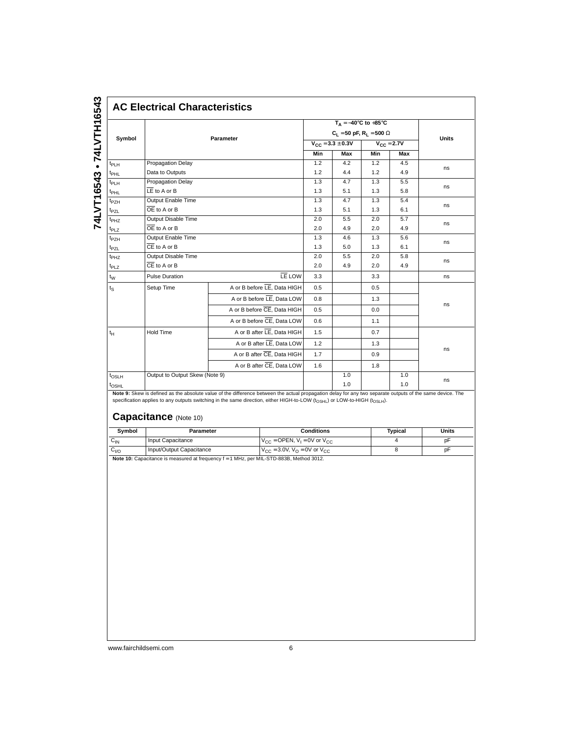| Symbol           |                           | Parameter                   |     | $C_1 = 50$ pF, R <sub>1</sub> = 500 $\Omega$<br>$V_{CC} = 3.3 \pm 0.3V$ |                  | $V_{CC} = 2.7V$ | <b>Units</b> |  |
|------------------|---------------------------|-----------------------------|-----|-------------------------------------------------------------------------|------------------|-----------------|--------------|--|
|                  |                           |                             |     | Max                                                                     | Min              | Max             |              |  |
| $t_{PLH}$        | Propagation Delay         |                             | 1.2 | 4.2                                                                     | 1.2              | 4.5             |              |  |
| t <sub>PHL</sub> | Data to Outputs           |                             |     | 4.4                                                                     | 1.2              | 4.9             | ns           |  |
| $t_{PLH}$        | Propagation Delay         |                             | 1.3 | 4.7                                                                     | 1.3              | 5.5             |              |  |
| $t_{\text{PHL}}$ | $LE$ to A or B            |                             |     | 5.1                                                                     | 1.3              | 5.8             | ns           |  |
| t <sub>PZH</sub> | Output Enable Time        |                             |     | 4.7                                                                     | 1.3              | 5.4             | ns           |  |
| t <sub>PZL</sub> | $OE$ to A or B            |                             | 1.3 | 5.1                                                                     | 1.3              | 6.1             |              |  |
| t <sub>PHZ</sub> | Output Disable Time       |                             | 2.0 | 5.5                                                                     | 2.0              | 5.7             | ns           |  |
| t <sub>PLZ</sub> | OE to A or B              |                             |     | 4.9                                                                     | 2.0              | 4.9             |              |  |
| $t_{PZH}$        | Output Enable Time        | 1.3                         | 4.6 | 1.3                                                                     | 5.6              | ns              |              |  |
| t <sub>PZL</sub> | $\overline{CE}$ to A or B | 1.3                         | 5.0 | 1.3                                                                     | 6.1              |                 |              |  |
| t <sub>PHZ</sub> | Output Disable Time       |                             | 2.0 | 5.5                                                                     | 2.0              | 5.8             | ns           |  |
| t <sub>PLZ</sub> | $CE$ to $A$ or $B$        |                             | 2.0 | 4.9                                                                     | 2.0              | 4.9             |              |  |
| $t_{\rm W}$      | <b>Pulse Duration</b>     | LE LOW                      | 3.3 |                                                                         | 3.3 <sub>2</sub> |                 | ns           |  |
| $t_{\rm S}$      | Setup Time                | A or B before LE, Data HIGH | 0.5 |                                                                         | 0.5              |                 |              |  |
|                  |                           | A or B before LE, Data LOW  | 0.8 |                                                                         | 1.3              |                 |              |  |
|                  |                           | A or B before CE, Data HIGH | 0.5 |                                                                         | 0.0              |                 | ns           |  |
|                  |                           | A or B before CE, Data LOW  | 0.6 |                                                                         | 1.1              |                 |              |  |
| $t_H$            | Hold Time                 | A or B after LE, Data HIGH  | 1.5 |                                                                         | 0.7              |                 |              |  |
|                  |                           | A or B after LE, Data LOW   | 1.2 |                                                                         | 1.3              |                 |              |  |
|                  |                           | A or B after CE, Data HIGH  | 1.7 |                                                                         | 0.9              |                 | ns           |  |
|                  |                           | A or B after CE, Data LOW   | 1.6 |                                                                         | 1.8              |                 |              |  |

**Note 9:** Skew is defined as the absolute value of the difference between the actual propagation delay for any two separate outputs of the same device. The<br>specification applies to any outputs switching in the same directi

# **Capacitance** (Note 10)

| Symbol   | Parameter                                                                            | <b>Conditions</b>                                              | Tvpical | Units |
|----------|--------------------------------------------------------------------------------------|----------------------------------------------------------------|---------|-------|
| ∪ιν      | Input Capacitance                                                                    | $V_{CC}$ = OPEN, $V_1$ = 0V or $V_{CC}$                        |         | D۳    |
| $G_{VQ}$ | Input/Output Capacitance                                                             | $V_{\text{CC}} = 3.0 V, V_{\text{O}} = 0 V$ or $V_{\text{CC}}$ |         | рF    |
|          | Nets 40: Conneitance in meanured of frographic (4 MH = nex MIL CTD 000D Method 2042) |                                                                |         |       |

**Note 10:** Capacitance is measured at frequency f = 1 MHz, per MIL-STD-883B, Method 3012.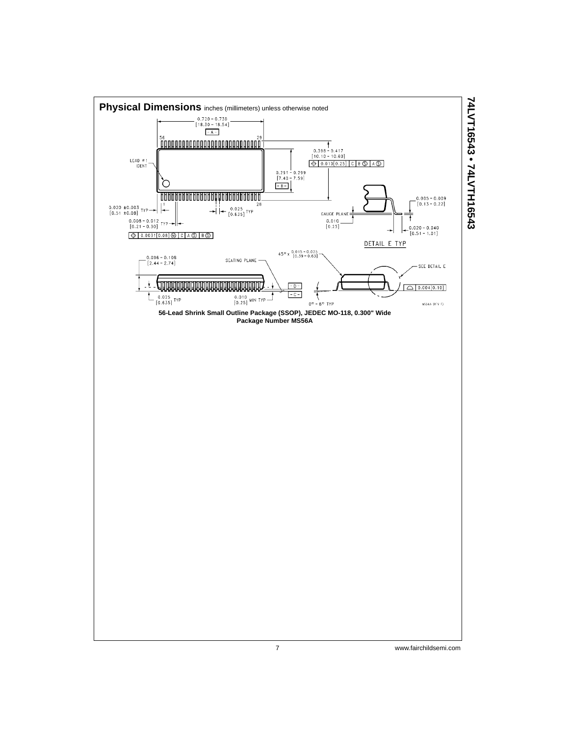

7 www.fairchildsemi.com